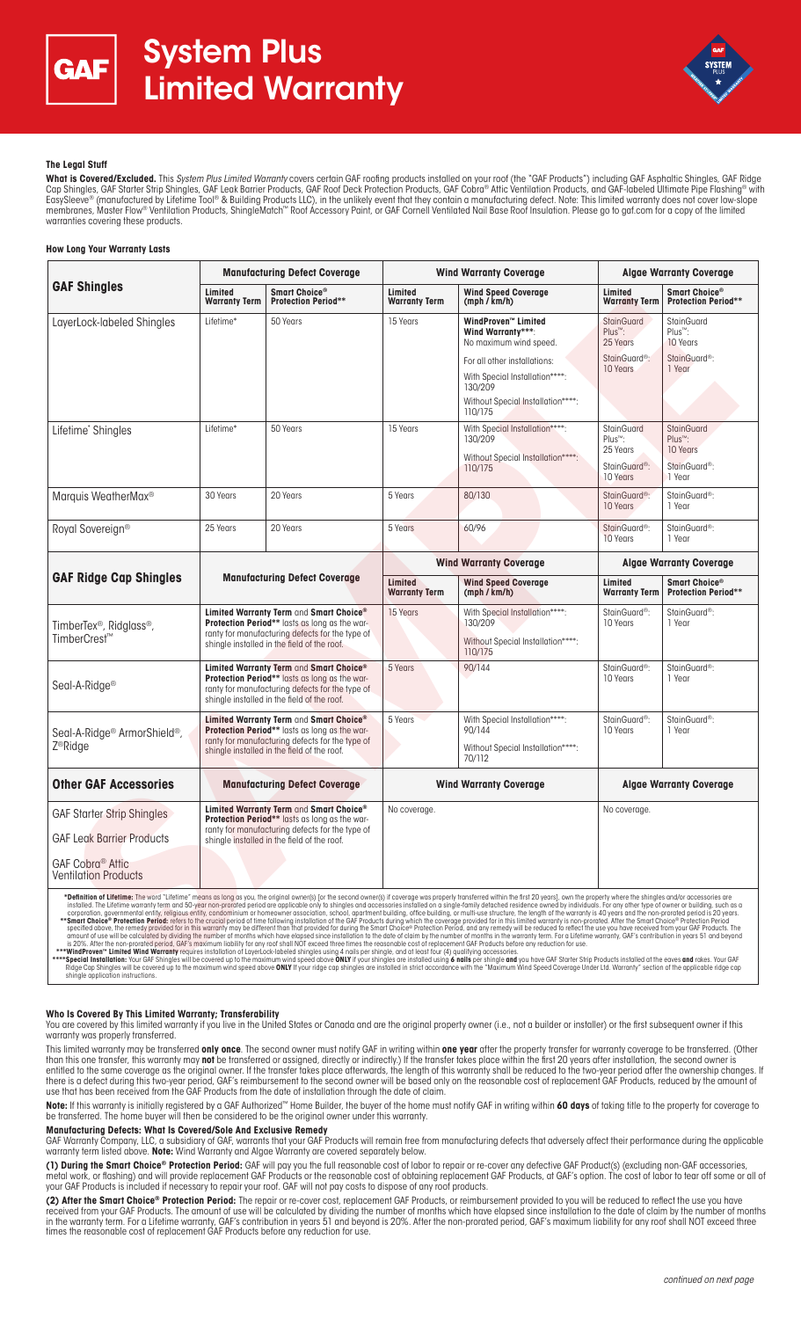



# **The Legal Stuff**

**What is Covered/Excluded.** This *System Plus Limited Warranty* covers certain GAF roofing products installed on your roof (the "GAF Products") including GAF Asphaltic Shingles, GAF Ridge<br>Cap Shingles, GAF Starter Strip Sh membranes, Master Flow® Ventilation Products, ShingleMatch™ Roof Accessory Paint, or GAF Cornell Ventilated Nail Base Roof Insulation. Please go to gaf.com for a copy of the limited warranties covering these products.

# **How Long Your Warranty Lasts**

|                                                                                                                                                                                                                                                                                                                                                                                                                                                                                                                                                                                                                                                                                                                                                                                                                                                                                                                                                                                                                                                                                                                                                                                                                                                                                                                                                                                                                                                                                                                                                                                                                                                                                                                                                                                                                                                                                                                                                                                                                                                                                                                                                                                                                                                                                 | <b>Manufacturing Defect Coverage</b>                                                                                                                                                       |                                             | <b>Wind Warranty Coverage</b>   |                                                                                                                                                                                                        | <b>Algae Warranty Coverage</b>                                                                |                                                                                      |
|---------------------------------------------------------------------------------------------------------------------------------------------------------------------------------------------------------------------------------------------------------------------------------------------------------------------------------------------------------------------------------------------------------------------------------------------------------------------------------------------------------------------------------------------------------------------------------------------------------------------------------------------------------------------------------------------------------------------------------------------------------------------------------------------------------------------------------------------------------------------------------------------------------------------------------------------------------------------------------------------------------------------------------------------------------------------------------------------------------------------------------------------------------------------------------------------------------------------------------------------------------------------------------------------------------------------------------------------------------------------------------------------------------------------------------------------------------------------------------------------------------------------------------------------------------------------------------------------------------------------------------------------------------------------------------------------------------------------------------------------------------------------------------------------------------------------------------------------------------------------------------------------------------------------------------------------------------------------------------------------------------------------------------------------------------------------------------------------------------------------------------------------------------------------------------------------------------------------------------------------------------------------------------|--------------------------------------------------------------------------------------------------------------------------------------------------------------------------------------------|---------------------------------------------|---------------------------------|--------------------------------------------------------------------------------------------------------------------------------------------------------------------------------------------------------|-----------------------------------------------------------------------------------------------|--------------------------------------------------------------------------------------|
| <b>GAF Shingles</b>                                                                                                                                                                                                                                                                                                                                                                                                                                                                                                                                                                                                                                                                                                                                                                                                                                                                                                                                                                                                                                                                                                                                                                                                                                                                                                                                                                                                                                                                                                                                                                                                                                                                                                                                                                                                                                                                                                                                                                                                                                                                                                                                                                                                                                                             | Limited<br><b>Warranty Term</b>                                                                                                                                                            | Smart Choice®<br><b>Protection Period**</b> | Limited<br><b>Warranty Term</b> | <b>Wind Speed Coverage</b><br>(mph / km/h)                                                                                                                                                             | Limited<br><b>Warranty Term</b>                                                               | Smart Choice®<br><b>Protection Period**</b>                                          |
| LayerLock-labeled Shingles                                                                                                                                                                                                                                                                                                                                                                                                                                                                                                                                                                                                                                                                                                                                                                                                                                                                                                                                                                                                                                                                                                                                                                                                                                                                                                                                                                                                                                                                                                                                                                                                                                                                                                                                                                                                                                                                                                                                                                                                                                                                                                                                                                                                                                                      | Lifetime*                                                                                                                                                                                  | 50 Years                                    | 15 Years                        | <b>WindProven™ Limited</b><br>Wind Warrantv***:<br>No maximum wind speed.<br>For all other installations:<br>With Special Installation****:<br>130/209<br>Without Special Installation****:<br>110/175 | <b>StainGuard</b><br>$Plus^m$ :<br>25 Years<br>StainGuard <sup>®</sup> :<br>10 Years          | StainGuard<br>Plus <sup>™</sup> :<br>10 Years<br>StainGuard <sup>®</sup> :<br>1 Year |
| Lifetime* Shingles                                                                                                                                                                                                                                                                                                                                                                                                                                                                                                                                                                                                                                                                                                                                                                                                                                                                                                                                                                                                                                                                                                                                                                                                                                                                                                                                                                                                                                                                                                                                                                                                                                                                                                                                                                                                                                                                                                                                                                                                                                                                                                                                                                                                                                                              | Lifetime*                                                                                                                                                                                  | 50 Years                                    | 15 Years                        | With Special Installation****:<br>130/209<br>Without Special Installation****:<br>110/175                                                                                                              | <b>StainGuard</b><br>Plus <sup>™</sup> :<br>25 Years<br>StainGuard <sup>®</sup> :<br>10 Years | StainGuard<br>Plus <sup>™</sup> :<br>10 Years<br>StainGuard <sup>®</sup> :<br>1 Year |
| Marquis WeatherMax®                                                                                                                                                                                                                                                                                                                                                                                                                                                                                                                                                                                                                                                                                                                                                                                                                                                                                                                                                                                                                                                                                                                                                                                                                                                                                                                                                                                                                                                                                                                                                                                                                                                                                                                                                                                                                                                                                                                                                                                                                                                                                                                                                                                                                                                             | 30 Years                                                                                                                                                                                   | 20 Years                                    | 5 Years                         | 80/130                                                                                                                                                                                                 | StainGuard <sup>®</sup> :<br>10 Years                                                         | StainGuard <sup>®</sup> :<br>1 Year                                                  |
| Royal Sovereign®                                                                                                                                                                                                                                                                                                                                                                                                                                                                                                                                                                                                                                                                                                                                                                                                                                                                                                                                                                                                                                                                                                                                                                                                                                                                                                                                                                                                                                                                                                                                                                                                                                                                                                                                                                                                                                                                                                                                                                                                                                                                                                                                                                                                                                                                | 25 Years                                                                                                                                                                                   | 20 Years                                    | 5 Years                         | 60/96                                                                                                                                                                                                  | StainGuard <sup>®</sup> :<br>10 Years                                                         | StainGuard <sup>®</sup> :<br>1 Year                                                  |
| <b>GAF Ridge Cap Shingles</b>                                                                                                                                                                                                                                                                                                                                                                                                                                                                                                                                                                                                                                                                                                                                                                                                                                                                                                                                                                                                                                                                                                                                                                                                                                                                                                                                                                                                                                                                                                                                                                                                                                                                                                                                                                                                                                                                                                                                                                                                                                                                                                                                                                                                                                                   | <b>Manufacturing Defect Coverage</b>                                                                                                                                                       |                                             | <b>Wind Warranty Coverage</b>   |                                                                                                                                                                                                        | <b>Algae Warranty Coverage</b>                                                                |                                                                                      |
|                                                                                                                                                                                                                                                                                                                                                                                                                                                                                                                                                                                                                                                                                                                                                                                                                                                                                                                                                                                                                                                                                                                                                                                                                                                                                                                                                                                                                                                                                                                                                                                                                                                                                                                                                                                                                                                                                                                                                                                                                                                                                                                                                                                                                                                                                 |                                                                                                                                                                                            |                                             | Limited<br><b>Warranty Term</b> | <b>Wind Speed Coverage</b><br>(mph / km/h)                                                                                                                                                             | Limited<br><b>Warranty Term</b>                                                               | Smart Choice®<br><b>Protection Period**</b>                                          |
| TimberTex <sup>®</sup> , Ridglass <sup>®</sup> ,<br>TimberCrest <sup>™</sup>                                                                                                                                                                                                                                                                                                                                                                                                                                                                                                                                                                                                                                                                                                                                                                                                                                                                                                                                                                                                                                                                                                                                                                                                                                                                                                                                                                                                                                                                                                                                                                                                                                                                                                                                                                                                                                                                                                                                                                                                                                                                                                                                                                                                    | Limited Warranty Term and Smart Choice®<br>Protection Period** lasts as long as the war-<br>ranty for manufacturing defects for the type of<br>shingle installed in the field of the roof. |                                             | 15 Years                        | With Special Installation****:<br>130/209<br>Without Special Installation****:<br>110/175                                                                                                              | StainGuard <sup>®</sup> :<br>10 Years                                                         | StainGuard <sup>®</sup> :<br>1 Year                                                  |
| Seal-A-Ridge <sup>®</sup>                                                                                                                                                                                                                                                                                                                                                                                                                                                                                                                                                                                                                                                                                                                                                                                                                                                                                                                                                                                                                                                                                                                                                                                                                                                                                                                                                                                                                                                                                                                                                                                                                                                                                                                                                                                                                                                                                                                                                                                                                                                                                                                                                                                                                                                       | Limited Warranty Term and Smart Choice®<br>Protection Period** lasts as long as the war-<br>ranty for manufacturing defects for the type of<br>shingle installed in the field of the roof. |                                             | 5 Years                         | 90/144                                                                                                                                                                                                 | StainGuard <sup>®</sup> :<br>10 Years                                                         | StainGuard <sup>®</sup> :<br>1 Year                                                  |
| Seal-A-Ridge <sup>®</sup> ArmorShield <sup>®</sup> ,<br>Z <sup>®</sup> Ridge                                                                                                                                                                                                                                                                                                                                                                                                                                                                                                                                                                                                                                                                                                                                                                                                                                                                                                                                                                                                                                                                                                                                                                                                                                                                                                                                                                                                                                                                                                                                                                                                                                                                                                                                                                                                                                                                                                                                                                                                                                                                                                                                                                                                    | Limited Warranty Term and Smart Choice®<br>Protection Period** lasts as long as the war-<br>ranty for manufacturing defects for the type of<br>shingle installed in the field of the roof. |                                             | 5 Years                         | With Special Installation****:<br>90/144<br>Without Special Installation****:<br>70/112                                                                                                                | StainGuard <sup>®</sup> :<br>10 Years                                                         | StainGuard <sup>®</sup> :<br>1 Year                                                  |
| <b>Other GAF Accessories</b>                                                                                                                                                                                                                                                                                                                                                                                                                                                                                                                                                                                                                                                                                                                                                                                                                                                                                                                                                                                                                                                                                                                                                                                                                                                                                                                                                                                                                                                                                                                                                                                                                                                                                                                                                                                                                                                                                                                                                                                                                                                                                                                                                                                                                                                    | <b>Manufacturing Defect Coverage</b>                                                                                                                                                       |                                             | <b>Wind Warranty Coverage</b>   |                                                                                                                                                                                                        | <b>Algae Warranty Coverage</b>                                                                |                                                                                      |
| <b>GAF Starter Strip Shingles</b><br><b>GAF Leak Barrier Products</b><br><b>GAF Cobra® Attic</b><br><b>Ventilation Products</b>                                                                                                                                                                                                                                                                                                                                                                                                                                                                                                                                                                                                                                                                                                                                                                                                                                                                                                                                                                                                                                                                                                                                                                                                                                                                                                                                                                                                                                                                                                                                                                                                                                                                                                                                                                                                                                                                                                                                                                                                                                                                                                                                                 | Limited Warranty Term and Smart Choice®<br>Protection Period** lasts as long as the war-<br>ranty for manufacturing defects for the type of<br>shingle installed in the field of the roof. |                                             | No coverage.                    |                                                                                                                                                                                                        | No coverage.                                                                                  |                                                                                      |
| *Definition of Lifetime: The word "Lifetime" means as long as you, the original owner(s) [or the second owner(s) if coverage was properly transferred within the first 20 years], own the property where the shingles and/or a<br>installed. The Lifetime warranty term and 50-year non-prorated period are applicable only to shingles and accessories installed on a single-family detached residence owned by individuals. For any other type of owner or bui<br>corporation, governmental entity, religious entity, condominium or homeowner association, school, apartment building, office building, or multi-use structure, the length of the warranty is 40 years and the non-prorated per<br>**Smart Choice® Protection Period: refers to the crucial period of time following installation of the GAF Products during which the coverage provided for in this limited warranty is non-prorated. After the Smart Choice® Pr<br>specified above, the remedy provided for in this warranty may be different than that provided for during the Smart Choice® Protection Period, and any remedy will be reduced to reflect the use you have received from your GA<br>amount of use will be calculated by dividing the number of months which have elapsed since installation to the date of claim by the number of months in the warranty term. For a Lifetime warranty. GAF's contribution in vear<br>is 20%. After the non-prorated period, GAF's maximum liability for any roof shall NOT exceed three times the reasonable cost of replacement GAF Products before any reduction for use.<br>***WindProven" Limited Wind Warranty requires installation of LaverLock-labeled shinales using 4 nails per shinale, and at least four (4) qualifying accessories.<br>****Special Installation: Your GAF Shingles will be covered up to the maximum wind speed above ONLY if your shingles are installed using 6 nails per shingle and you have GAF Starter Strip Products installed at the eaves an<br>Ridge Cap Shingles will be covered up to the maximum wind speed above ONLY If your ridge cap shingles are installed in strict accordance with the "Maximum Wind Speed Coverage Under Ltd. Warranty" section of the applicable<br>shingle application instructions. |                                                                                                                                                                                            |                                             |                                 |                                                                                                                                                                                                        |                                                                                               |                                                                                      |

### **Who Is Covered By This Limited Warranty; Transferability**

You are covered by this limited warranty if you live in the United States or Canada and are the original property owner (i.e., not a builder or installer) or the first subsequent owner if this warranty was properly transferred.

This limited warranty may be transferred **only once**. The second owner must notify GAF in writing within **one year** after the property transfer for warranty coverage to be transferred. (Other than this one transfer, this warranty may **not** be transferred or assigned, directly or indirectly.) If the transfer takes place within the first 20 years after installation, the second owner is entitled to the same coverage as the original owner. If the transfer takes place afterwards, the length of this warranty shall be reduced to the two-year period after the ownership changes. If there is a defect during this two-year period, GAF's reimbursement to the second owner will be based only on the reasonable cost of replacement GAF Products, reduced by the amount of use that has been received from the GAF Products from the date of installation through the date of claim.

**Note:** If this warranty is initially registered by a GAF Authorized™ Home Builder, the buyer of the home must notify GAF in writing within **60 days** of taking title to the property for coverage to<br>be transferred. The hom

## **Manufacturing Defects: What Is Covered/Sole And Exclusive Remedy**

GAF Warranty Company, LLC, a subsidiary of GAF, warrants that your GAF Products will remain free from manufacturing defects that adversely affect their performance during the applicable warranty term listed above. **Note:** Wind Warranty and Algae Warranty are covered separately below.

**(1) During the Smart Choice® Protection Period:** GAF will pay you the full reasonable cost of labor to repair or re-cover any defective GAF Product(s) (excluding non-GAF accessories, metal work, or flashing) and will provide replacement GAF Products or the reasonable cost of obtaining replacement GAF Products, at GAF's option. The cost of labor to tear off some or all of your GAF Products is included if necessary to repair your roof. GAF will not pay costs to dispose of any roof products.

**(2) After the Smart Choice® Protection Period:** The repair or re-cover cost, replacement GAF Products, or reimbursement provided to you will be reduced to reflect the use you have received from your GAF Products. The amount of use will be calculated by dividing the number of months which have elapsed since installation to the date of claim by the number of months in the warranty term. For a Lifetime warranty, GAF's contribution in years 51 and beyond is 20%. After the non-prorated period, GAF's maximum liability for any roof shall NOT exceed three times the reasonable cost of replacement GAF Products before any reduction for use.